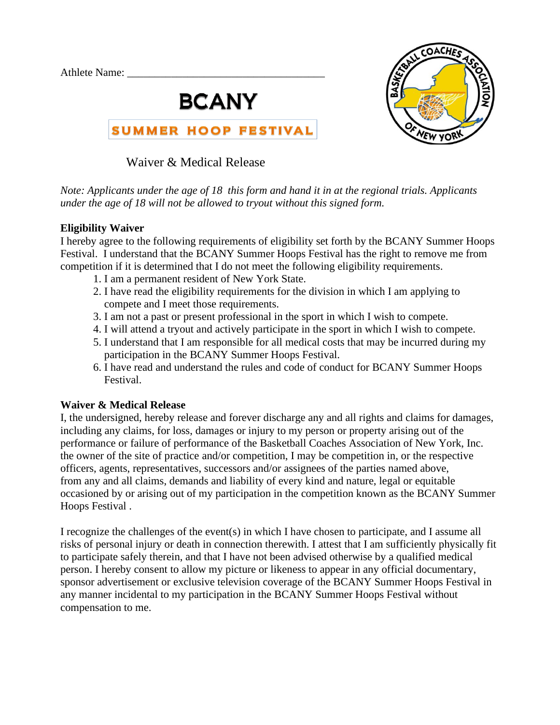Athlete Name:





Waiver & Medical Release

*Note: Applicants under the age of 18 this form and hand it in at the regional trials. Applicants under the age of 18 will not be allowed to tryout without this signed form.*

## **Eligibility Waiver**

I hereby agree to the following requirements of eligibility set forth by the BCANY Summer Hoops Festival. I understand that the BCANY Summer Hoops Festival has the right to remove me from competition if it is determined that I do not meet the following eligibility requirements.

- 1. I am a permanent resident of New York State.
- 2. I have read the eligibility requirements for the division in which I am applying to compete and I meet those requirements.
- 3. I am not a past or present professional in the sport in which I wish to compete.
- 4. I will attend a tryout and actively participate in the sport in which I wish to compete.
- 5. I understand that I am responsible for all medical costs that may be incurred during my participation in the BCANY Summer Hoops Festival.
- 6. I have read and understand the rules and code of conduct for BCANY Summer Hoops Festival.

## **Waiver & Medical Release**

I, the undersigned, hereby release and forever discharge any and all rights and claims for damages, including any claims, for loss, damages or injury to my person or property arising out of the performance or failure of performance of the Basketball Coaches Association of New York, Inc. the owner of the site of practice and/or competition, I may be competition in, or the respective officers, agents, representatives, successors and/or assignees of the parties named above, from any and all claims, demands and liability of every kind and nature, legal or equitable occasioned by or arising out of my participation in the competition known as the BCANY Summer Hoops Festival .

I recognize the challenges of the event(s) in which I have chosen to participate, and I assume all risks of personal injury or death in connection therewith. I attest that I am sufficiently physically fit to participate safely therein, and that I have not been advised otherwise by a qualified medical person. I hereby consent to allow my picture or likeness to appear in any official documentary, sponsor advertisement or exclusive television coverage of the BCANY Summer Hoops Festival in any manner incidental to my participation in the BCANY Summer Hoops Festival without compensation to me.